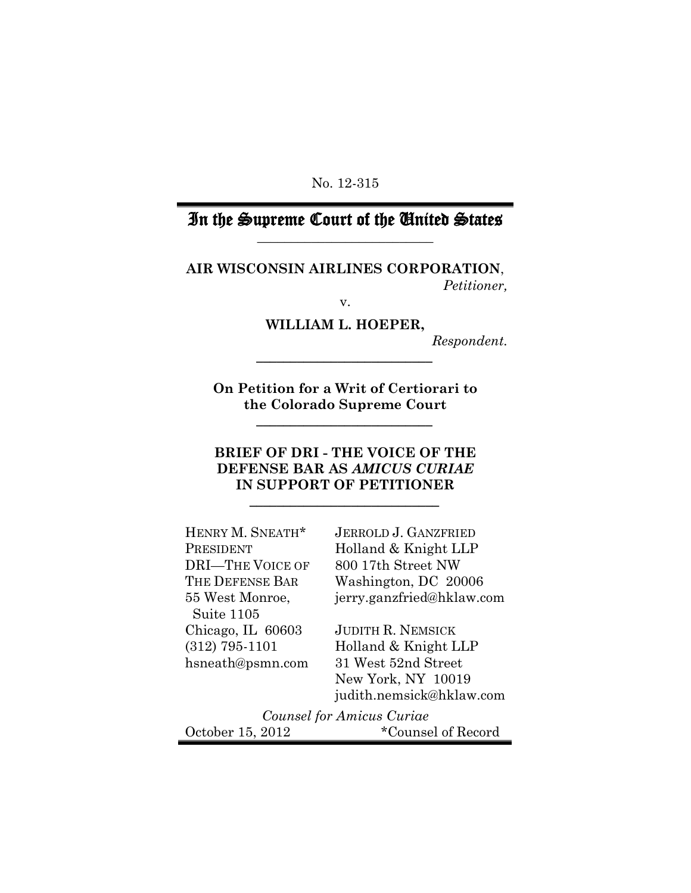No. 12-315

# In the Supreme Court of the United States \_\_\_\_\_\_\_\_\_\_\_\_\_\_\_\_\_\_\_\_\_\_\_\_\_\_

**AIR WISCONSIN AIRLINES CORPORATION**, *Petitioner,*

v.

**WILLIAM L. HOEPER,**

*\_\_\_\_\_\_\_\_\_\_\_\_\_\_\_\_\_\_\_\_\_\_\_\_\_\_*

*Respondent.*

**On Petition for a Writ of Certiorari to the Colorado Supreme Court**

*\_\_\_\_\_\_\_\_\_\_\_\_\_\_\_\_\_\_\_\_\_\_\_\_\_\_*

# **BRIEF OF DRI - THE VOICE OF THE DEFENSE BAR AS** *AMICUS CURIAE* **IN SUPPORT OF PETITIONER**

*\_\_\_\_\_\_\_\_\_\_\_\_\_\_\_\_\_\_\_\_\_\_\_\_\_\_\_\_*

| HENRY M. SNEATH*          | <b>JERROLD J. GANZFRIED</b> |
|---------------------------|-----------------------------|
| PRESIDENT                 | Holland & Knight LLP        |
| <b>DRI-THE VOICE OF</b>   | 800 17th Street NW          |
| THE DEFENSE BAR           | Washington, DC 20006        |
| 55 West Monroe,           | jerry.ganzfried@hklaw.com   |
| Suite 1105                |                             |
| Chicago, IL 60603         | <b>JUDITH R. NEMSICK</b>    |
| $(312)$ 795-1101          | Holland & Knight LLP        |
| hsneath@psmn.com          | 31 West 52nd Street         |
|                           | New York, NY 10019          |
|                           | judith.nemsick@hklaw.com    |
| Counsel for Amicus Curiae |                             |
| October 15, 2012          | *Counsel of Record          |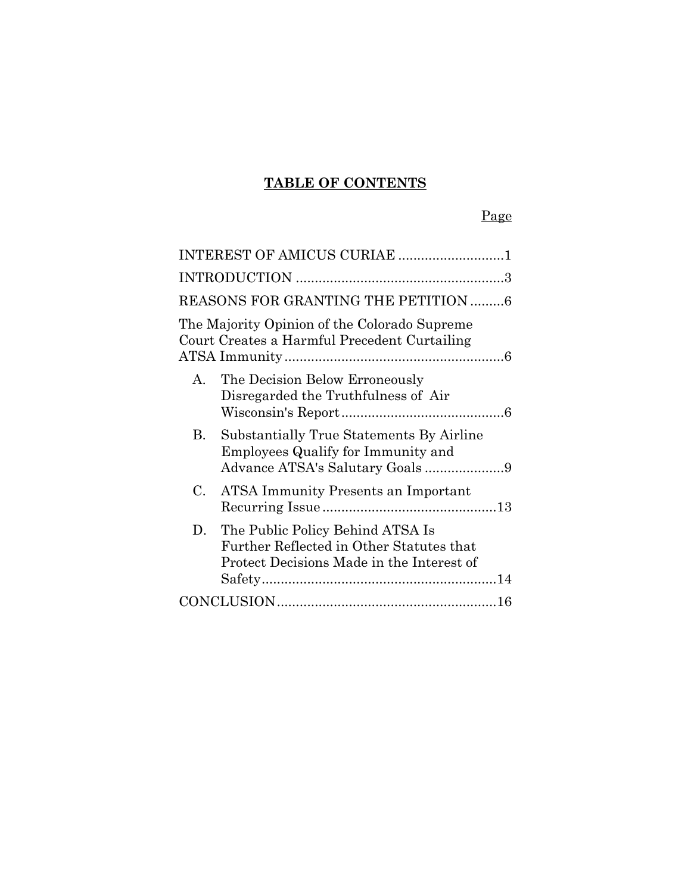# **TABLE OF CONTENTS**

# Page

| INTEREST OF AMICUS CURIAE 1                                                                                                     |
|---------------------------------------------------------------------------------------------------------------------------------|
|                                                                                                                                 |
| REASONS FOR GRANTING THE PETITION 6                                                                                             |
| The Majority Opinion of the Colorado Supreme<br>Court Creates a Harmful Precedent Curtailing                                    |
| The Decision Below Erroneously<br>$\mathbf{A}$<br>Disregarded the Truthfulness of Air                                           |
| Substantially True Statements By Airline<br>В.<br>Employees Qualify for Immunity and                                            |
| $C_{\cdot}$<br><b>ATSA Immunity Presents an Important</b>                                                                       |
| The Public Policy Behind ATSA Is<br>D.<br>Further Reflected in Other Statutes that<br>Protect Decisions Made in the Interest of |
|                                                                                                                                 |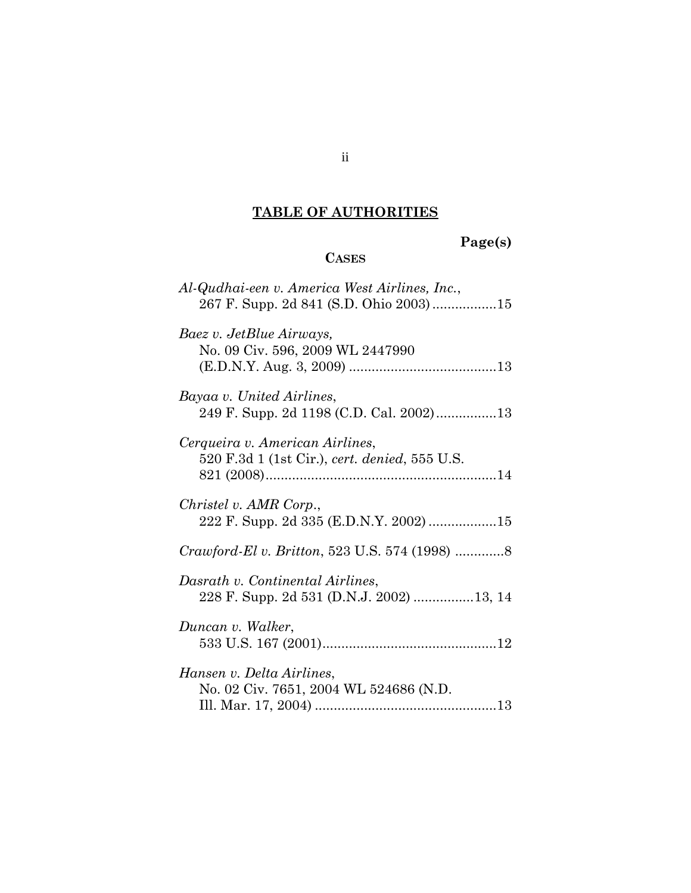# **TABLE OF AUTHORITIES**

# **Page(s)**

# **CASES**

| Al-Qudhai-een v. America West Airlines, Inc.,                                    |
|----------------------------------------------------------------------------------|
| Baez v. JetBlue Airways,<br>No. 09 Civ. 596, 2009 WL 2447990                     |
| Bayaa v. United Airlines,                                                        |
| Cerqueira v. American Airlines,<br>520 F.3d 1 (1st Cir.), cert. denied, 555 U.S. |
| Christel v. AMR Corp.,                                                           |
|                                                                                  |
| Dasrath v. Continental Airlines,<br>228 F. Supp. 2d 531 (D.N.J. 2002) 13, 14     |
| Duncan v. Walker,                                                                |
| Hansen v. Delta Airlines,<br>No. 02 Civ. 7651, 2004 WL 524686 (N.D.              |

ii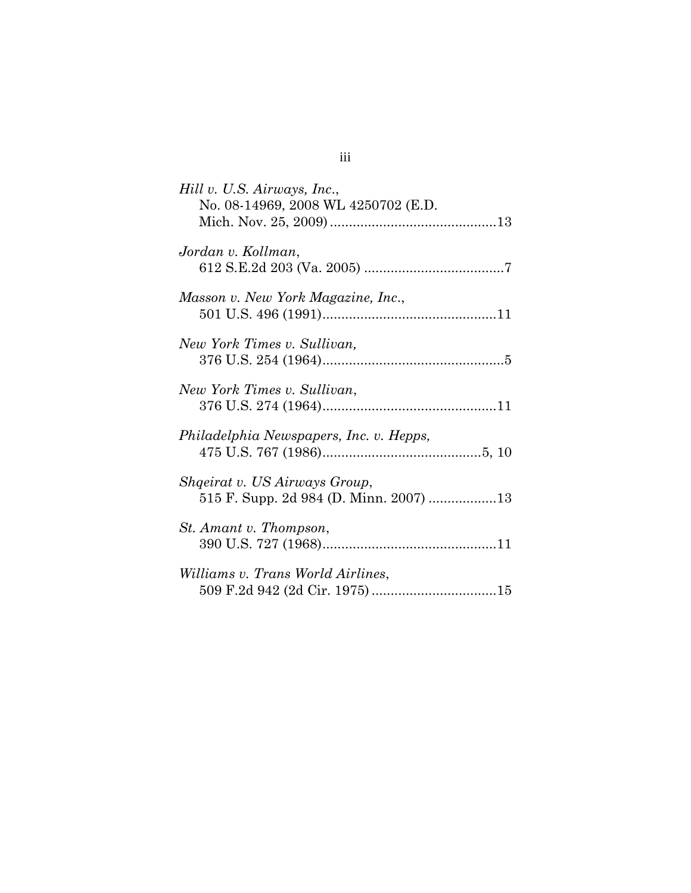| Hill v. U.S. Airways, Inc.,<br>No. 08-14969, 2008 WL 4250702 (E.D. |
|--------------------------------------------------------------------|
| Jordan v. Kollman,                                                 |
| Masson v. New York Magazine, Inc.,                                 |
| New York Times v. Sullivan,                                        |
| New York Times v. Sullivan,                                        |
| Philadelphia Newspapers, Inc. v. Hepps,                            |
| Shqeirat v. US Airways Group,                                      |
| St. Amant v. Thompson,                                             |
| <i>Williams v. Trans World Airlines,</i>                           |

iii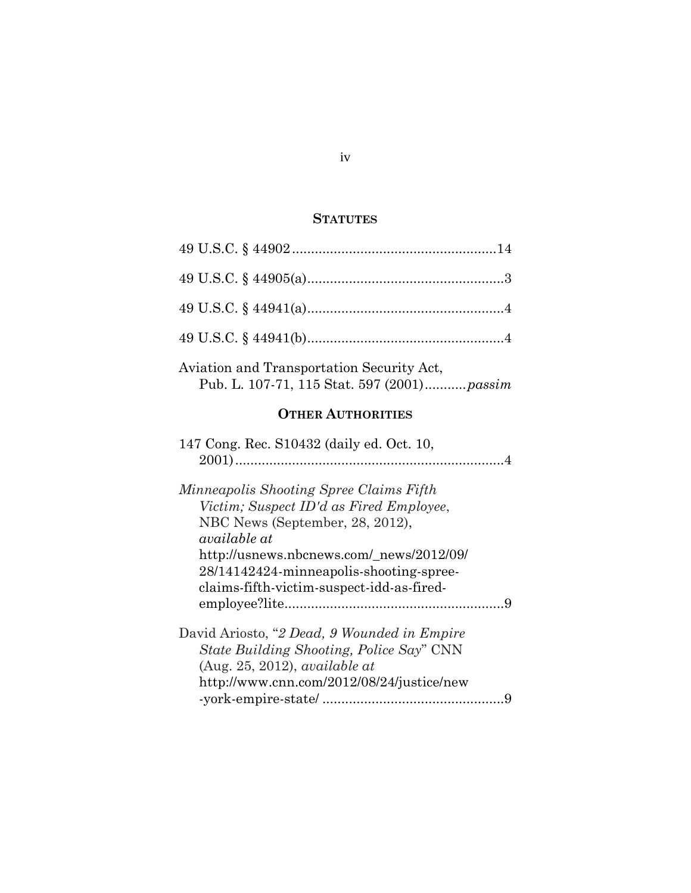## **STATUTES**

| Aviation and Transportation Security Act,<br>Pub. L. 107-71, 115 Stat. 597 (2001) passim                                                                                                                                                                                  |  |
|---------------------------------------------------------------------------------------------------------------------------------------------------------------------------------------------------------------------------------------------------------------------------|--|
| <b>OTHER AUTHORITIES</b>                                                                                                                                                                                                                                                  |  |
| 147 Cong. Rec. S10432 (daily ed. Oct. 10,                                                                                                                                                                                                                                 |  |
| Minneapolis Shooting Spree Claims Fifth<br>Victim; Suspect ID'd as Fired Employee,<br>NBC News (September, 28, 2012),<br>available at<br>http://usnews.nbcnews.com/_news/2012/09/<br>28/14142424-minneapolis-shooting-spree-<br>claims-fifth-victim-suspect-idd-as-fired- |  |
| David Ariosto, "2 Dead, 9 Wounded in Empire<br><i>State Building Shooting, Police Say</i> " CNN<br>(Aug. 25, 2012), available at<br>http://www.cnn.com/2012/08/24/justice/new                                                                                             |  |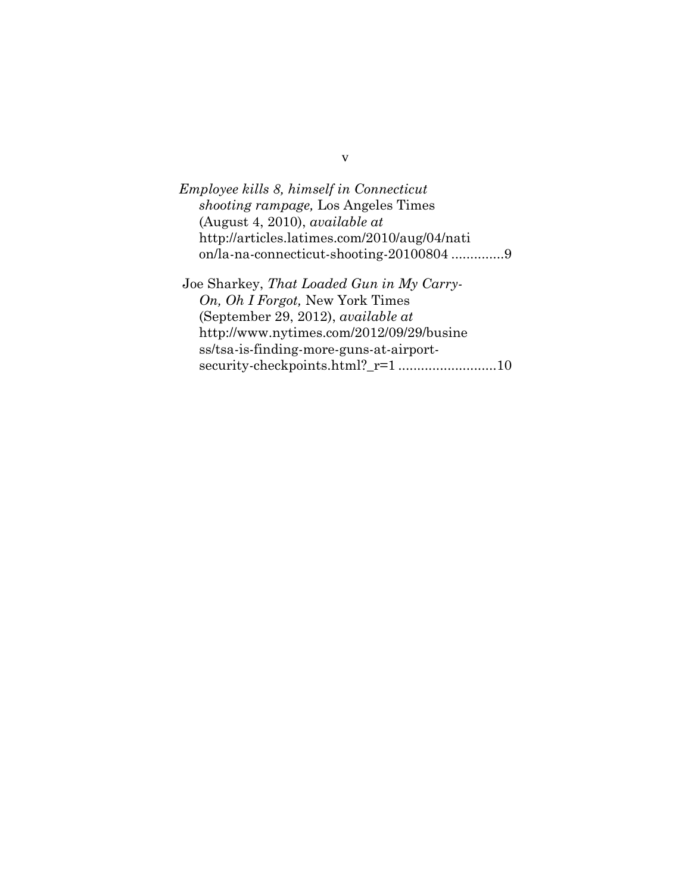*Employee kills 8, himself in Connecticut shooting rampage,* Los Angeles Times (August 4, 2010), *available at* http://articles.latimes.com/2010/aug/04/nati on/la-na-connecticut-shooting-20100804 .............[.9](#page-14-2) Joe Sharkey, *That Loaded Gun in My Carry-On, Oh I Forgot,* New York Times (September 29, 2012), *available at* http://www.nytimes.com/2012/09/29/busine ss/tsa-is-finding-more-guns-at-airport-

security-checkpoints.html?\_r=1 .........................[.10](#page-15-1)

v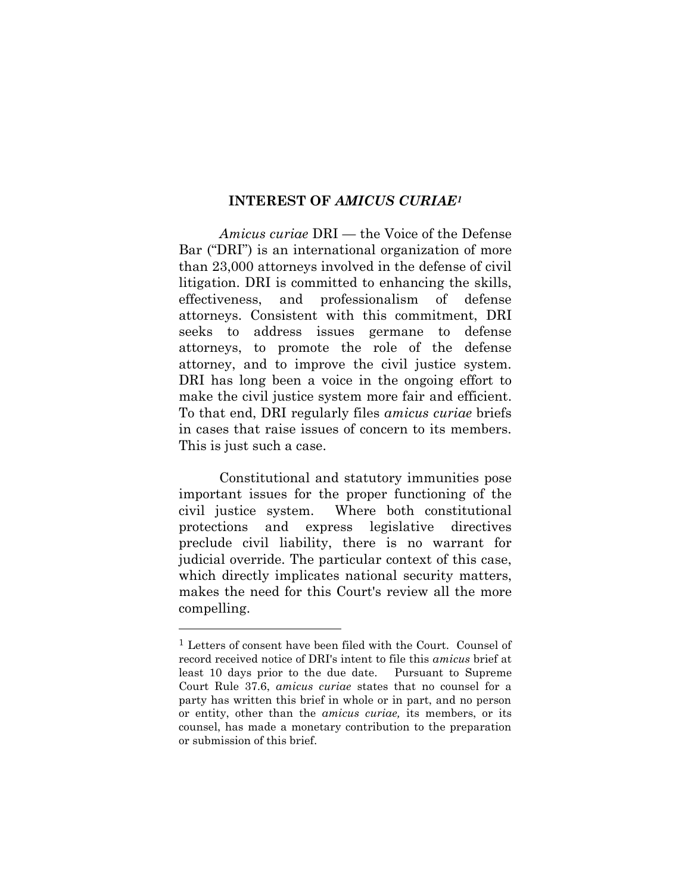#### **INTEREST OF** *AMICUS CURIAE<sup>1</sup>*

*Amicus curiae* DRI — the Voice of the Defense Bar ("DRI") is an international organization of more than 23,000 attorneys involved in the defense of civil litigation. DRI is committed to enhancing the skills, effectiveness, and professionalism of defense attorneys. Consistent with this commitment, DRI seeks to address issues germane to defense attorneys, to promote the role of the defense attorney, and to improve the civil justice system. DRI has long been a voice in the ongoing effort to make the civil justice system more fair and efficient. To that end, DRI regularly files *amicus curiae* briefs in cases that raise issues of concern to its members. This is just such a case.

Constitutional and statutory immunities pose important issues for the proper functioning of the civil justice system. Where both constitutional protections and express legislative directives preclude civil liability, there is no warrant for judicial override. The particular context of this case, which directly implicates national security matters, makes the need for this Court's review all the more compelling.

<sup>1</sup> Letters of consent have been filed with the Court. Counsel of record received notice of DRI's intent to file this *amicus* brief at least 10 days prior to the due date. Pursuant to Supreme Court Rule 37.6, *amicus curiae* states that no counsel for a party has written this brief in whole or in part, and no person or entity, other than the *amicus curiae,* its members, or its counsel, has made a monetary contribution to the preparation or submission of this brief.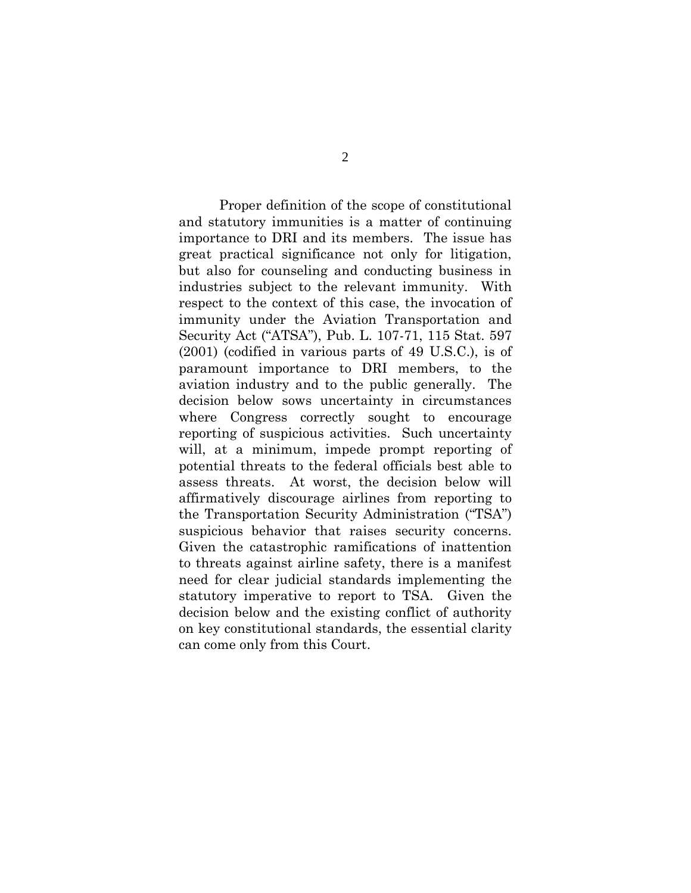Proper definition of the scope of constitutional and statutory immunities is a matter of continuing importance to DRI and its members. The issue has great practical significance not only for litigation, but also for counseling and conducting business in industries subject to the relevant immunity. With respect to the context of this case, the invocation of immunity under the Aviation Transportation and Security Act ("ATSA"), Pub. L. 107-71, 115 Stat. 597 (2001) (codified in various parts of 49 U.S.C.), is of paramount importance to DRI members, to the aviation industry and to the public generally. The decision below sows uncertainty in circumstances where Congress correctly sought to encourage reporting of suspicious activities. Such uncertainty will, at a minimum, impede prompt reporting of potential threats to the federal officials best able to assess threats. At worst, the decision below will affirmatively discourage airlines from reporting to the Transportation Security Administration ("TSA") suspicious behavior that raises security concerns. Given the catastrophic ramifications of inattention to threats against airline safety, there is a manifest need for clear judicial standards implementing the statutory imperative to report to TSA. Given the decision below and the existing conflict of authority on key constitutional standards, the essential clarity can come only from this Court.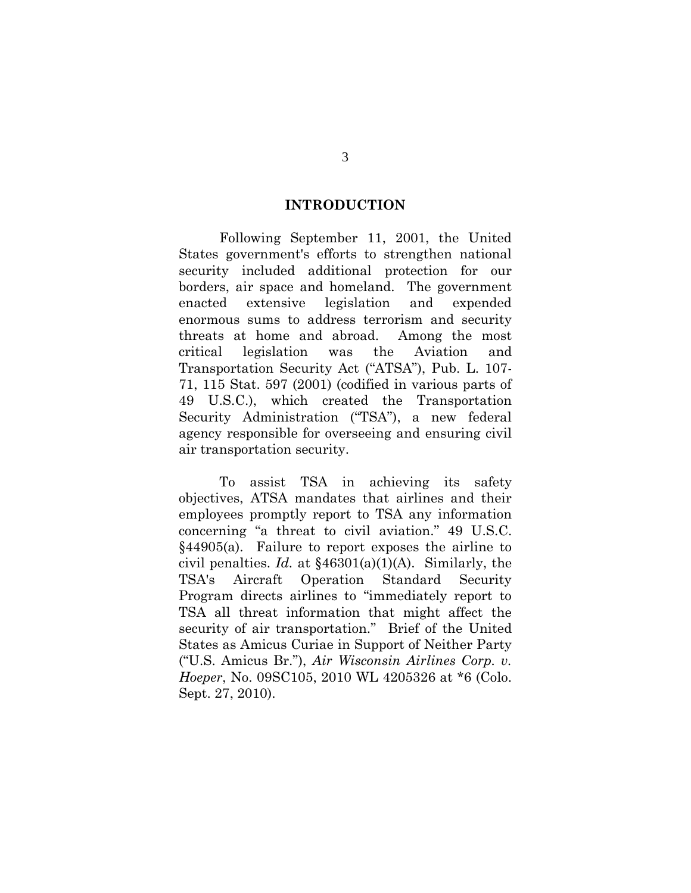#### **INTRODUCTION**

Following September 11, 2001, the United States government's efforts to strengthen national security included additional protection for our borders, air space and homeland. The government enacted extensive legislation and expended enormous sums to address terrorism and security threats at home and abroad. Among the most critical legislation was the Aviation and Transportation Security Act ("ATSA"), Pub. L. 107- 71, 115 Stat. 597 (2001) (codified in various parts of 49 U.S.C.), which created the Transportation Security Administration ("TSA"), a new federal agency responsible for overseeing and ensuring civil air transportation security.

<span id="page-8-0"></span>To assist TSA in achieving its safety objectives, ATSA mandates that airlines and their employees promptly report to TSA any information concerning "a threat to civil aviation." 49 U.S.C. §44905(a). Failure to report exposes the airline to civil penalties. *Id.* at §46301(a)(1)(A). Similarly, the TSA's Aircraft Operation Standard Security Program directs airlines to "immediately report to TSA all threat information that might affect the security of air transportation." Brief of the United States as Amicus Curiae in Support of Neither Party ("U.S. Amicus Br."), *Air Wisconsin Airlines Corp. v. Hoeper*, No. 09SC105, 2010 WL 4205326 at \*6 (Colo. Sept. 27, 2010).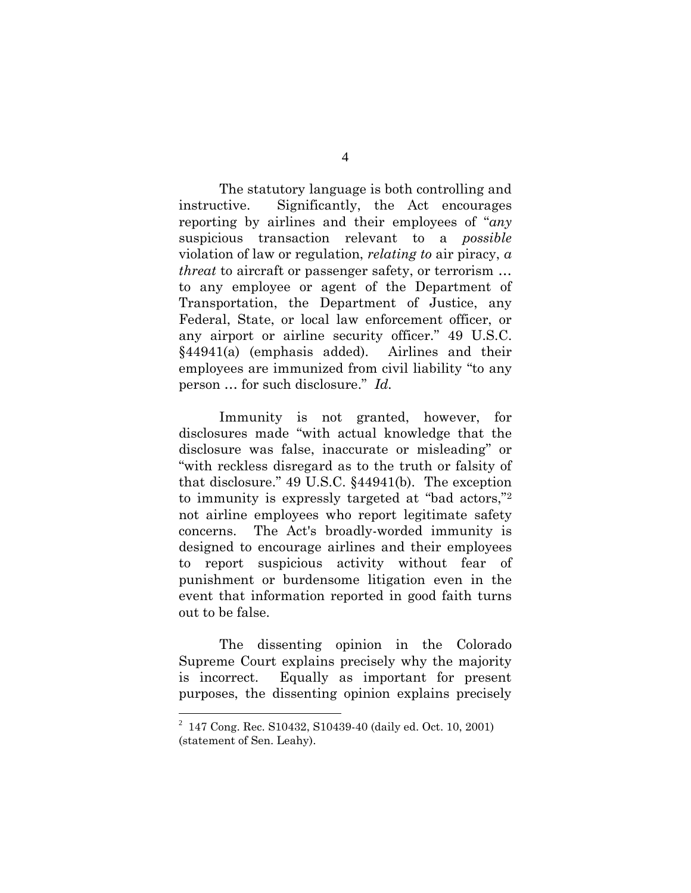The statutory language is both controlling and instructive. Significantly, the Act encourages reporting by airlines and their employees of "*any* suspicious transaction relevant to a *possible* violation of law or regulation, *relating to* air piracy, *a threat* to aircraft or passenger safety, or terrorism … to any employee or agent of the Department of Transportation, the Department of Justice, any Federal, State, or local law enforcement officer, or any airport or airline security officer." 49 U.S.C. §44941(a) (emphasis added). Airlines and their employees are immunized from civil liability "to any person … for such disclosure." *Id.*

<span id="page-9-1"></span><span id="page-9-0"></span>Immunity is not granted, however, for disclosures made "with actual knowledge that the disclosure was false, inaccurate or misleading" or "with reckless disregard as to the truth or falsity of that disclosure." 49 U.S.C. §44941(b). The exception to immunity is expressly targeted at "bad actors," 2 not airline employees who report legitimate safety concerns. The Act's broadly-worded immunity is designed to encourage airlines and their employees to report suspicious activity without fear of punishment or burdensome litigation even in the event that information reported in good faith turns out to be false.

The dissenting opinion in the Colorado Supreme Court explains precisely why the majority is incorrect. Equally as important for present purposes, the dissenting opinion explains precisely

<span id="page-9-2"></span><sup>2</sup> 147 Cong. Rec. S10432, S10439-40 (daily ed. Oct. 10, 2001) (statement of Sen. Leahy).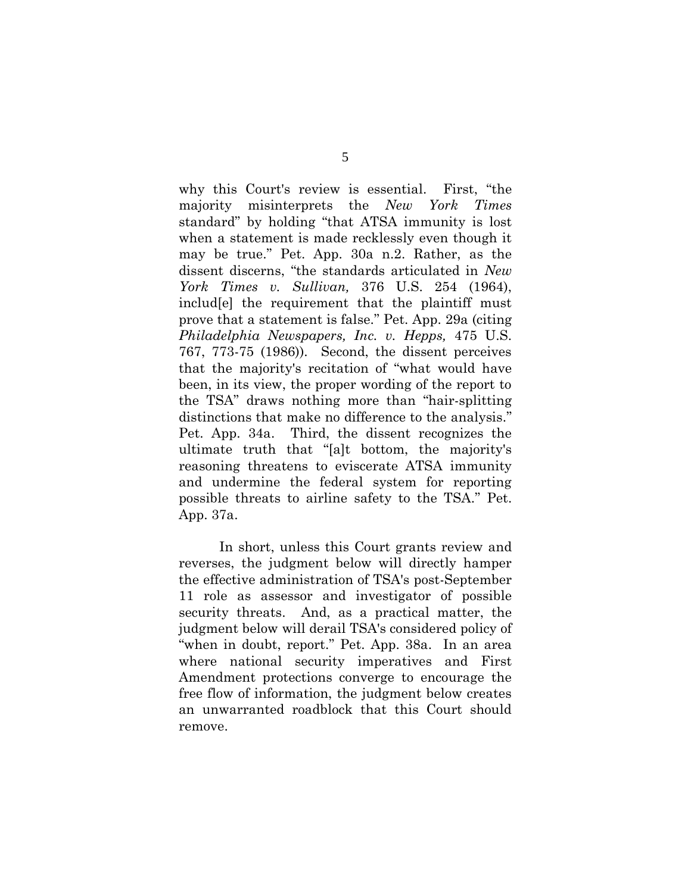<span id="page-10-0"></span>why this Court's review is essential. First, "the majority misinterprets the *New York Times*  standard" by holding "that ATSA immunity is lost when a statement is made recklessly even though it may be true." Pet. App. 30a n.2. Rather, as the dissent discerns, "the standards articulated in *New York Times v. Sullivan,* 376 U.S. 254 (1964), includ[e] the requirement that the plaintiff must prove that a statement is false." Pet. App. 29a (citing *Philadelphia Newspapers, Inc. v. Hepps,* 475 U.S. 767, 773-75 (1986)). Second, the dissent perceives that the majority's recitation of "what would have been, in its view, the proper wording of the report to the TSA" draws nothing more than "hair-splitting distinctions that make no difference to the analysis." Pet. App. 34a. Third, the dissent recognizes the ultimate truth that "[a]t bottom, the majority's reasoning threatens to eviscerate ATSA immunity and undermine the federal system for reporting possible threats to airline safety to the TSA." Pet. App. 37a.

In short, unless this Court grants review and reverses, the judgment below will directly hamper the effective administration of TSA's post-September 11 role as assessor and investigator of possible security threats. And, as a practical matter, the judgment below will derail TSA's considered policy of "when in doubt, report." Pet. App. 38a. In an area where national security imperatives and First Amendment protections converge to encourage the free flow of information, the judgment below creates an unwarranted roadblock that this Court should remove.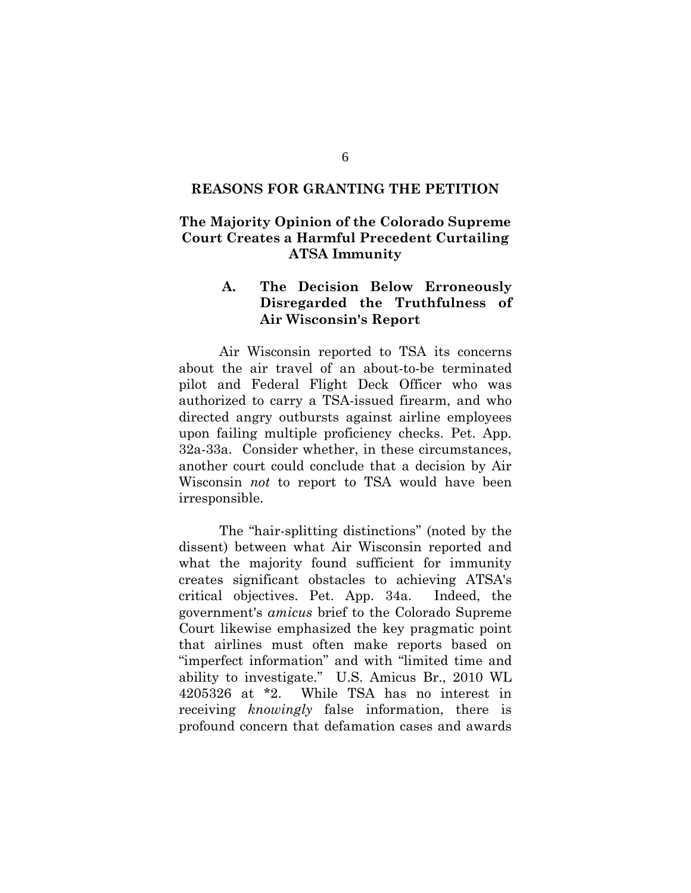#### **REASONS FOR GRANTING THE PETITION**

### **The Majority Opinion of the Colorado Supreme Court Creates a Harmful Precedent Curtailing ATSA Immunity**

### **A. The Decision Below Erroneously Disregarded the Truthfulness of Air Wisconsin's Report**

Air Wisconsin reported to TSA its concerns about the air travel of an about-to-be terminated pilot and Federal Flight Deck Officer who was authorized to carry a TSA-issued firearm, and who directed angry outbursts against airline employees upon failing multiple proficiency checks. Pet. App. 32a-33a. Consider whether, in these circumstances, another court could conclude that a decision by Air Wisconsin *not* to report to TSA would have been irresponsible.

The "hair-splitting distinctions" (noted by the dissent) between what Air Wisconsin reported and what the majority found sufficient for immunity creates significant obstacles to achieving ATSA's critical objectives. Pet. App. 34a. Indeed, the government's *amicus* brief to the Colorado Supreme Court likewise emphasized the key pragmatic point that airlines must often make reports based on "imperfect information" and with "limited time and ability to investigate." U.S. Amicus Br., 2010 WL 4205326 at \*2. While TSA has no interest in receiving *knowingly* false information, there is profound concern that defamation cases and awards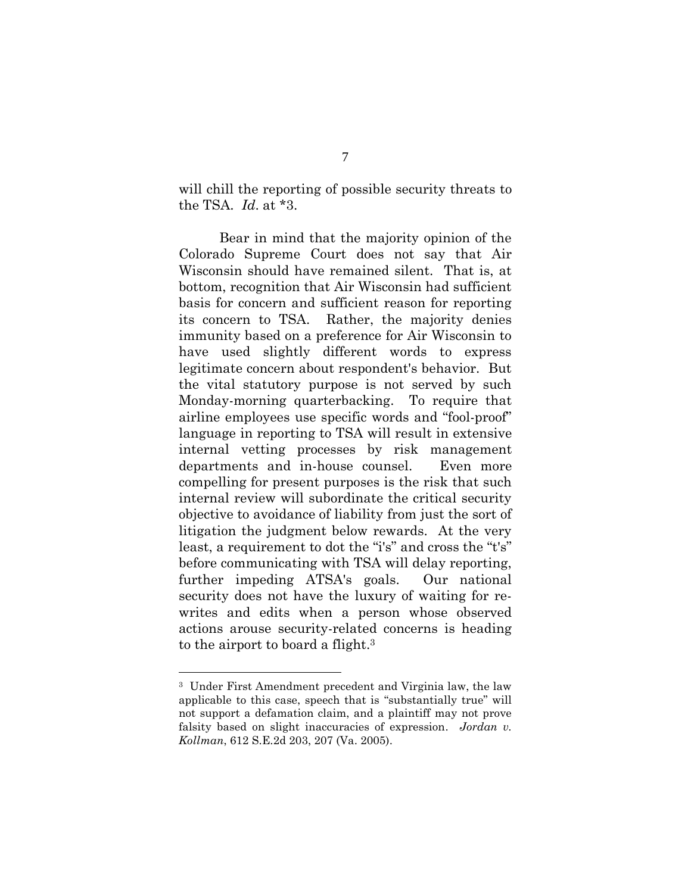will chill the reporting of possible security threats to the TSA. *Id*. at \*3.

Bear in mind that the majority opinion of the Colorado Supreme Court does not say that Air Wisconsin should have remained silent. That is, at bottom, recognition that Air Wisconsin had sufficient basis for concern and sufficient reason for reporting its concern to TSA. Rather, the majority denies immunity based on a preference for Air Wisconsin to have used slightly different words to express legitimate concern about respondent's behavior. But the vital statutory purpose is not served by such Monday-morning quarterbacking. To require that airline employees use specific words and "fool-proof" language in reporting to TSA will result in extensive internal vetting processes by risk management departments and in-house counsel. Even more compelling for present purposes is the risk that such internal review will subordinate the critical security objective to avoidance of liability from just the sort of litigation the judgment below rewards. At the very least, a requirement to dot the "i's" and cross the "t's" before communicating with TSA will delay reporting, further impeding ATSA's goals. Our national security does not have the luxury of waiting for rewrites and edits when a person whose observed actions arouse security-related concerns is heading to the airport to board a flight. 3

<span id="page-12-0"></span><sup>3</sup> Under First Amendment precedent and Virginia law, the law applicable to this case, speech that is "substantially true" will not support a defamation claim, and a plaintiff may not prove falsity based on slight inaccuracies of expression. *Jordan v. Kollman*, 612 S.E.2d 203, 207 (Va. 2005).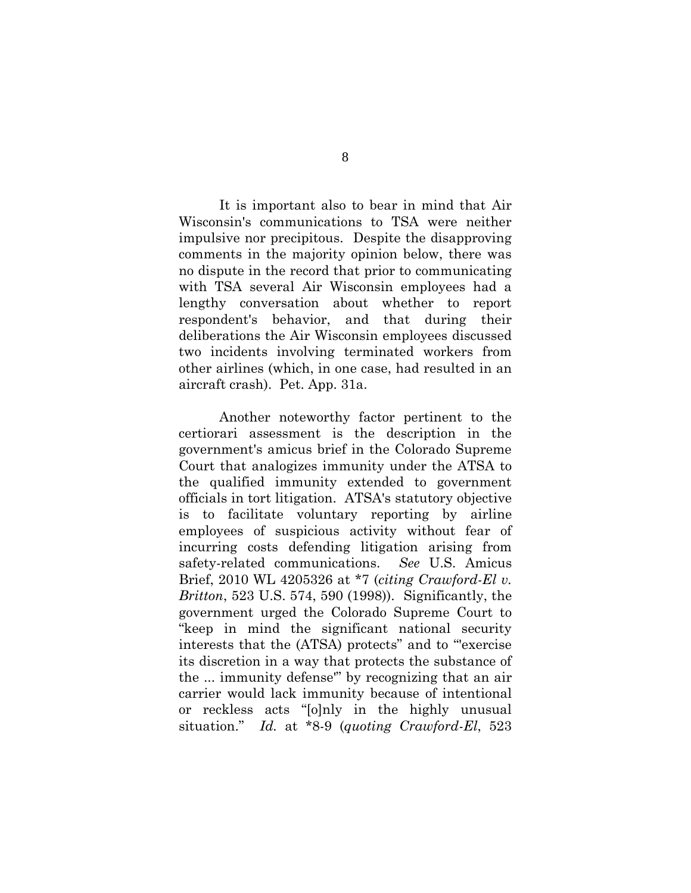It is important also to bear in mind that Air Wisconsin's communications to TSA were neither impulsive nor precipitous. Despite the disapproving comments in the majority opinion below, there was no dispute in the record that prior to communicating with TSA several Air Wisconsin employees had a lengthy conversation about whether to report respondent's behavior, and that during their deliberations the Air Wisconsin employees discussed two incidents involving terminated workers from other airlines (which, in one case, had resulted in an aircraft crash). Pet. App. 31a.

Another noteworthy factor pertinent to the certiorari assessment is the description in the government's amicus brief in the Colorado Supreme Court that analogizes immunity under the ATSA to the qualified immunity extended to government officials in tort litigation. ATSA's statutory objective is to facilitate voluntary reporting by airline employees of suspicious activity without fear of incurring costs defending litigation arising from safety-related communications. *See* U.S. Amicus Brief, 2010 WL 4205326 at \*7 (*citing Crawford-El v. Britton*, 523 U.S. 574, 590 (1998)). Significantly, the government urged the Colorado Supreme Court to "keep in mind the significant national security interests that the (ATSA) protects" and to "'exercise its discretion in a way that protects the substance of the ... immunity defense'" by recognizing that an air carrier would lack immunity because of intentional or reckless acts "[o]nly in the highly unusual situation." *Id.* at \*8-9 (*quoting Crawford-El*, 523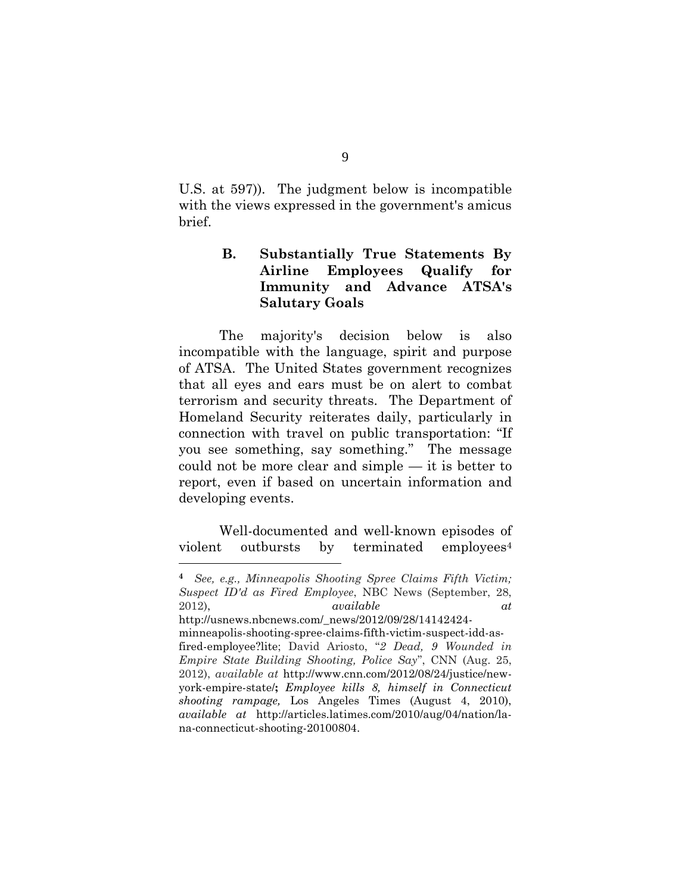U.S. at 597))*.* The judgment below is incompatible with the views expressed in the government's amicus brief.

# **B. Substantially True Statements By Airline Employees Qualify for Immunity and Advance ATSA's Salutary Goals**

The majority's decision below is also incompatible with the language, spirit and purpose of ATSA. The United States government recognizes that all eyes and ears must be on alert to combat terrorism and security threats. The Department of Homeland Security reiterates daily, particularly in connection with travel on public transportation: "If you see something, say something." The message could not be more clear and simple — it is better to report, even if based on uncertain information and developing events.

Well-documented and well-known episodes of violent outbursts by terminated employees<sup>4</sup>

<span id="page-14-2"></span><span id="page-14-1"></span><span id="page-14-0"></span>**<sup>4</sup>** *See, e.g., Minneapolis Shooting Spree Claims Fifth Victim; Suspect ID'd as Fired Employee*, NBC News (September, 28, 2012), *available at* http://usnews.nbcnews.com/\_news/2012/09/28/14142424 minneapolis-shooting-spree-claims-fifth-victim-suspect-idd-asfired-employee?lite; David Ariosto, "*2 Dead, 9 Wounded in Empire State Building Shooting, Police Say*", CNN (Aug. 25, 2012), *available at* [http://www.cnn.com/2012/08/24/justice/new](http://www.cnn.com/2012/08/24/justice/new-york-empire-state/)[york-empire-state/](http://www.cnn.com/2012/08/24/justice/new-york-empire-state/)**;** *Employee kills 8, himself in Connecticut shooting rampage,* Los Angeles Times (August 4, 2010), *available at* [http://articles.latimes.com/2010/aug/04/nation/la](http://articles.latimes.com/2010/aug/04/nation/la-na-connecticut-shooting-20100804)[na-connecticut-shooting-20100804.](http://articles.latimes.com/2010/aug/04/nation/la-na-connecticut-shooting-20100804)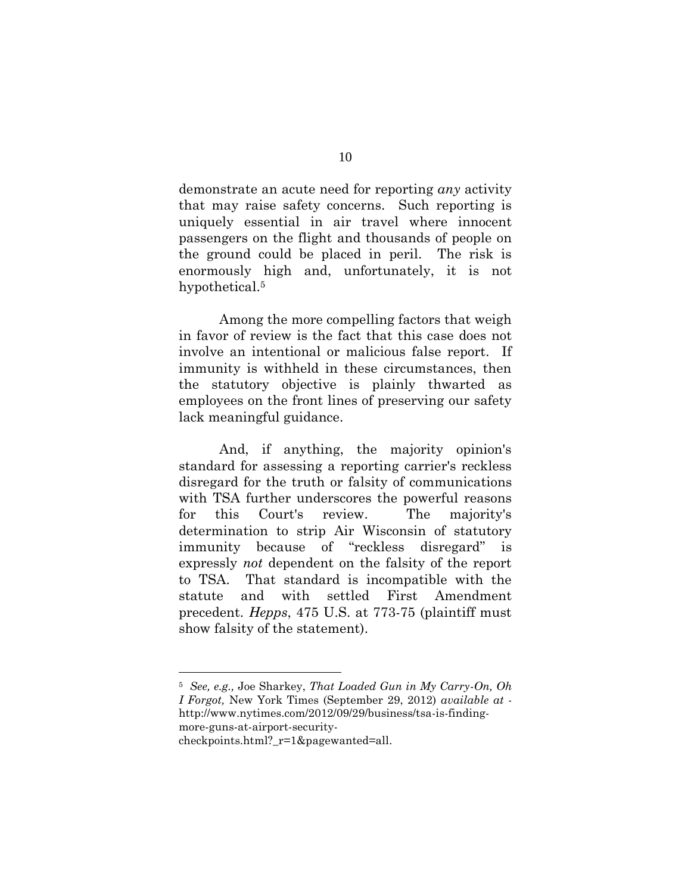demonstrate an acute need for reporting *any* activity that may raise safety concerns. Such reporting is uniquely essential in air travel where innocent passengers on the flight and thousands of people on the ground could be placed in peril. The risk is enormously high and, unfortunately, it is not hypothetical.<sup>5</sup>

Among the more compelling factors that weigh in favor of review is the fact that this case does not involve an intentional or malicious false report. If immunity is withheld in these circumstances, then the statutory objective is plainly thwarted as employees on the front lines of preserving our safety lack meaningful guidance.

And, if anything, the majority opinion's standard for assessing a reporting carrier's reckless disregard for the truth or falsity of communications with TSA further underscores the powerful reasons for this Court's review. The majority's determination to strip Air Wisconsin of statutory immunity because of "reckless disregard" is expressly *not* dependent on the falsity of the report to TSA. That standard is incompatible with the statute and with settled First Amendment precedent. *Hepps*, 475 U.S. at 773-75 (plaintiff must show falsity of the statement).

<span id="page-15-1"></span><span id="page-15-0"></span><sup>5</sup> *See, e.g.,* Joe Sharkey, *That Loaded Gun in My Carry-On, Oh I Forgot,* New York Times (September 29, 2012) *available at*  [http://www.nytimes.com/2012/09/29/business/tsa-is-finding-](http://www.nytimes.com/2012/09/29/business/tsa-is-finding-more-guns-at-airport-security-checkpoints.html?_r=1&pagewanted=all)

[more-guns-at-airport-security](http://www.nytimes.com/2012/09/29/business/tsa-is-finding-more-guns-at-airport-security-checkpoints.html?_r=1&pagewanted=all)checkpoints.html? r=1&pagewanted=all.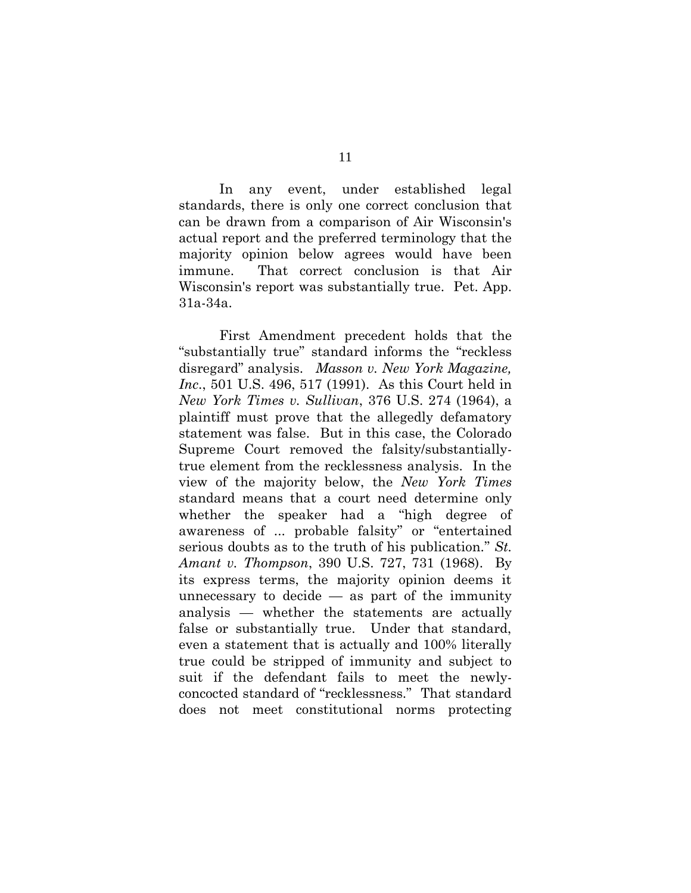In any event, under established legal standards, there is only one correct conclusion that can be drawn from a comparison of Air Wisconsin's actual report and the preferred terminology that the majority opinion below agrees would have been immune. That correct conclusion is that Air Wisconsin's report was substantially true. Pet. App. 31a-34a.

<span id="page-16-2"></span><span id="page-16-1"></span><span id="page-16-0"></span>First Amendment precedent holds that the "substantially true" standard informs the "reckless disregard" analysis. *Masson v. New York Magazine, Inc*., 501 U.S. 496, 517 (1991). As this Court held in *New York Times v. Sullivan*, 376 U.S. 274 (1964), a plaintiff must prove that the allegedly defamatory statement was false. But in this case, the Colorado Supreme Court removed the falsity/substantiallytrue element from the recklessness analysis. In the view of the majority below, the *New York Times* standard means that a court need determine only whether the speaker had a "high degree of awareness of ... probable falsity" or "entertained serious doubts as to the truth of his publication." *St. Amant v. Thompson*, 390 U.S. 727, 731 (1968). By its express terms, the majority opinion deems it unnecessary to decide  $-$  as part of the immunity analysis — whether the statements are actually false or substantially true. Under that standard, even a statement that is actually and 100% literally true could be stripped of immunity and subject to suit if the defendant fails to meet the newlyconcocted standard of "recklessness." That standard does not meet constitutional norms protecting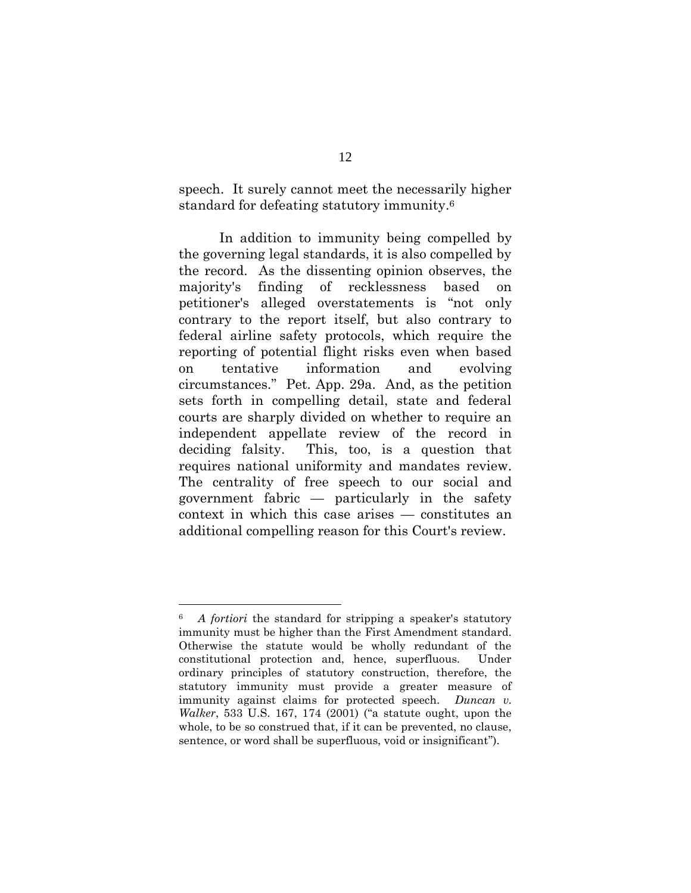speech. It surely cannot meet the necessarily higher standard for defeating statutory immunity.<sup>6</sup>

In addition to immunity being compelled by the governing legal standards, it is also compelled by the record. As the dissenting opinion observes, the majority's finding of recklessness based on petitioner's alleged overstatements is "not only contrary to the report itself, but also contrary to federal airline safety protocols, which require the reporting of potential flight risks even when based on tentative information and evolving circumstances." Pet. App. 29a. And, as the petition sets forth in compelling detail, state and federal courts are sharply divided on whether to require an independent appellate review of the record in deciding falsity. This, too, is a question that requires national uniformity and mandates review. The centrality of free speech to our social and government fabric — particularly in the safety context in which this case arises — constitutes an additional compelling reason for this Court's review.

<span id="page-17-0"></span><sup>6</sup> *A fortiori* the standard for stripping a speaker's statutory immunity must be higher than the First Amendment standard. Otherwise the statute would be wholly redundant of the constitutional protection and, hence, superfluous. Under ordinary principles of statutory construction, therefore, the statutory immunity must provide a greater measure of immunity against claims for protected speech. *Duncan v. Walker*, 533 U.S. 167, 174 (2001) ("a statute ought, upon the whole, to be so construed that, if it can be prevented, no clause, sentence, or word shall be superfluous, void or insignificant").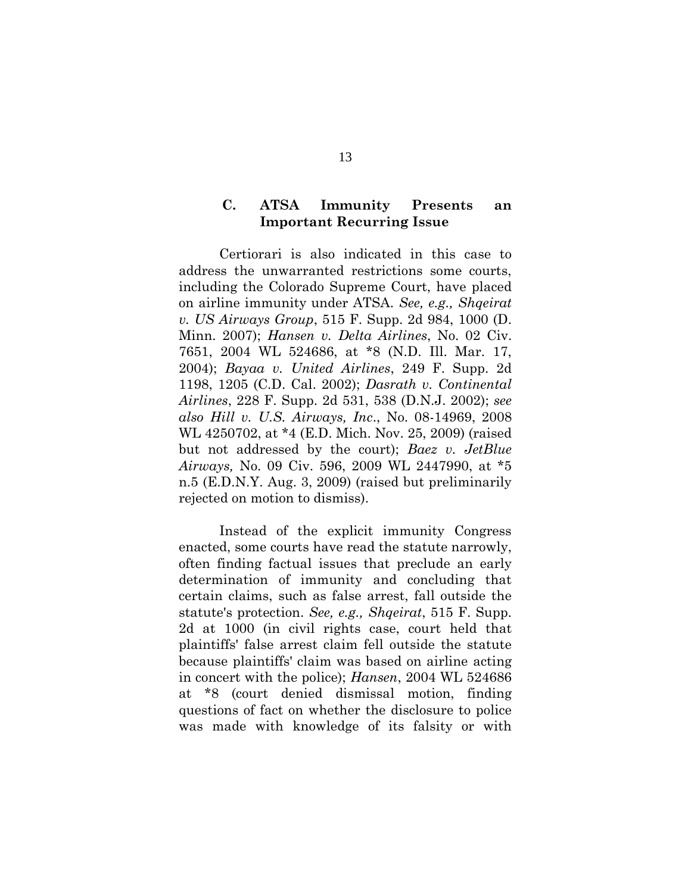#### <span id="page-18-5"></span>**C. ATSA Immunity Presents an Important Recurring Issue**

<span id="page-18-3"></span><span id="page-18-2"></span><span id="page-18-1"></span>Certiorari is also indicated in this case to address the unwarranted restrictions some courts, including the Colorado Supreme Court, have placed on airline immunity under ATSA. *See, e.g., Shqeirat v. US Airways Group*, 515 F. Supp. 2d 984, 1000 (D. Minn. 2007); *Hansen v. Delta Airlines*, No. 02 Civ. 7651, 2004 WL 524686, at \*8 (N.D. Ill. Mar. 17, 2004); *Bayaa v. United Airlines*, 249 F. Supp. 2d 1198, 1205 (C.D. Cal. 2002); *Dasrath v. Continental Airlines*, 228 F. Supp. 2d 531, 538 (D.N.J. 2002); *see also Hill v. U.S. Airways, Inc*., No. 08-14969, 2008 WL 4250702, at \*4 (E.D. Mich. Nov. 25, 2009) (raised but not addressed by the court); *Baez v. JetBlue Airways,* No. 09 Civ. 596, 2009 WL 2447990, at \*5 n.5 (E.D.N.Y. Aug. 3, 2009) (raised but preliminarily rejected on motion to dismiss).

<span id="page-18-4"></span><span id="page-18-0"></span>Instead of the explicit immunity Congress enacted, some courts have read the statute narrowly, often finding factual issues that preclude an early determination of immunity and concluding that certain claims, such as false arrest, fall outside the statute's protection. *See, e.g., Shqeirat*, 515 F. Supp. 2d at 1000 (in civil rights case, court held that plaintiffs' false arrest claim fell outside the statute because plaintiffs' claim was based on airline acting in concert with the police); *Hansen*, 2004 WL 524686 at \*8 (court denied dismissal motion, finding questions of fact on whether the disclosure to police was made with knowledge of its falsity or with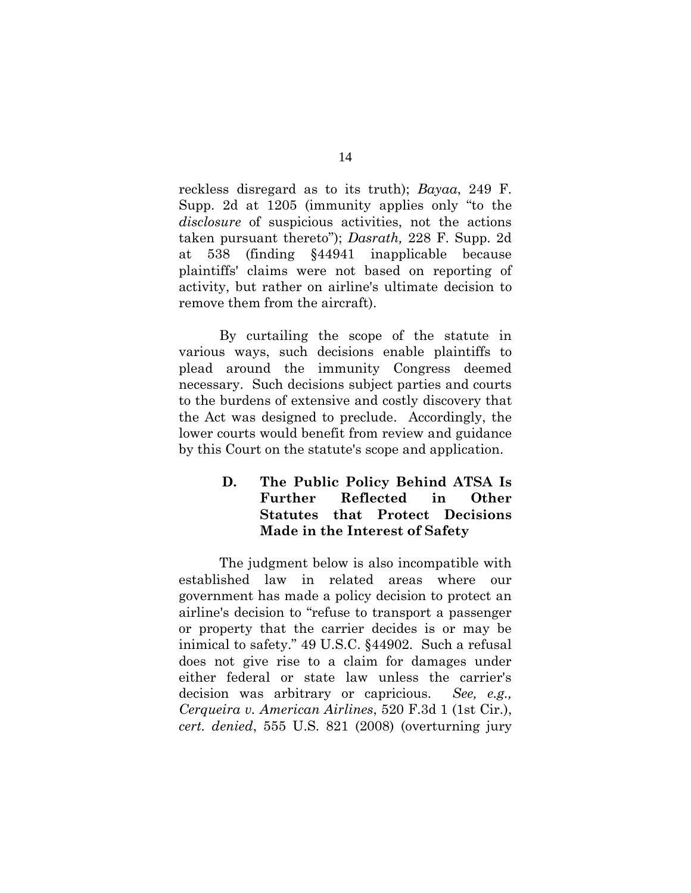reckless disregard as to its truth); *Bayaa*, 249 F. Supp. 2d at 1205 (immunity applies only "to the *disclosure* of suspicious activities, not the actions taken pursuant thereto"); *Dasrath,* 228 F. Supp. 2d at 538 (finding §44941 inapplicable because plaintiffs' claims were not based on reporting of activity, but rather on airline's ultimate decision to remove them from the aircraft).

By curtailing the scope of the statute in various ways, such decisions enable plaintiffs to plead around the immunity Congress deemed necessary. Such decisions subject parties and courts to the burdens of extensive and costly discovery that the Act was designed to preclude. Accordingly, the lower courts would benefit from review and guidance by this Court on the statute's scope and application.

# **D. The Public Policy Behind ATSA Is Further Reflected in Other Statutes that Protect Decisions Made in the Interest of Safety**

<span id="page-19-1"></span><span id="page-19-0"></span>The judgment below is also incompatible with established law in related areas where our government has made a policy decision to protect an airline's decision to "refuse to transport a passenger or property that the carrier decides is or may be inimical to safety." 49 U.S.C. §44902. Such a refusal does not give rise to a claim for damages under either federal or state law unless the carrier's decision was arbitrary or capricious. *See, e.g., Cerqueira v. American Airlines*, 520 F.3d 1 (1st Cir.), *cert. denied*, 555 U.S. 821 (2008) (overturning jury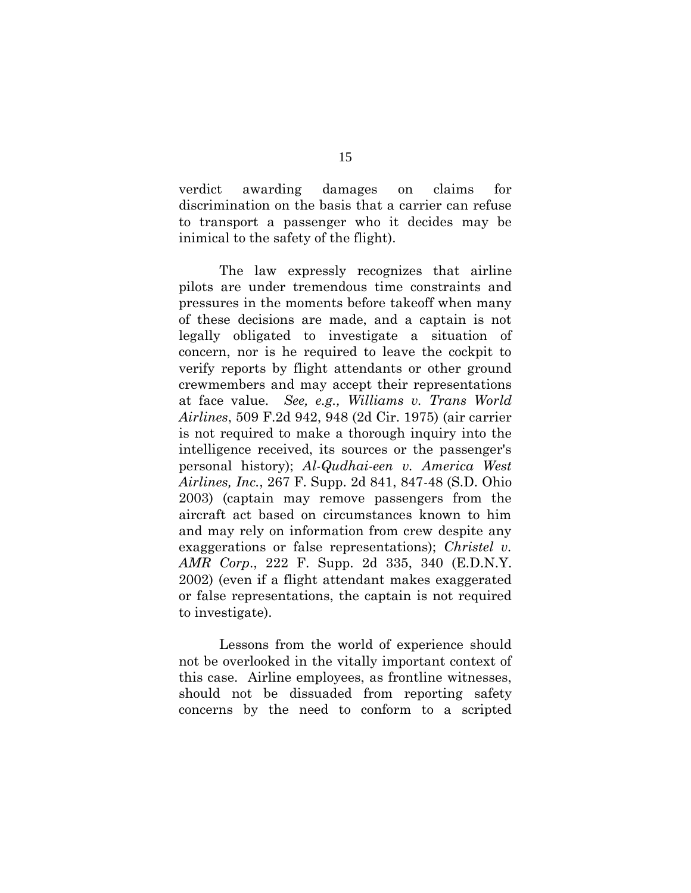verdict awarding damages on claims for discrimination on the basis that a carrier can refuse to transport a passenger who it decides may be inimical to the safety of the flight).

<span id="page-20-2"></span>The law expressly recognizes that airline pilots are under tremendous time constraints and pressures in the moments before takeoff when many of these decisions are made, and a captain is not legally obligated to investigate a situation of concern, nor is he required to leave the cockpit to verify reports by flight attendants or other ground crewmembers and may accept their representations at face value. *See, e.g., Williams v. Trans World Airlines*, 509 F.2d 942, 948 (2d Cir. 1975) (air carrier is not required to make a thorough inquiry into the intelligence received, its sources or the passenger's personal history); *Al-Qudhai-een v. America West Airlines, Inc.*, 267 F. Supp. 2d 841, 847-48 (S.D. Ohio 2003) (captain may remove passengers from the aircraft act based on circumstances known to him and may rely on information from crew despite any exaggerations or false representations); *Christel v. AMR Corp*., 222 F. Supp. 2d 335, 340 (E.D.N.Y. 2002) (even if a flight attendant makes exaggerated or false representations, the captain is not required to investigate).

<span id="page-20-1"></span><span id="page-20-0"></span>Lessons from the world of experience should not be overlooked in the vitally important context of this case. Airline employees, as frontline witnesses, should not be dissuaded from reporting safety concerns by the need to conform to a scripted